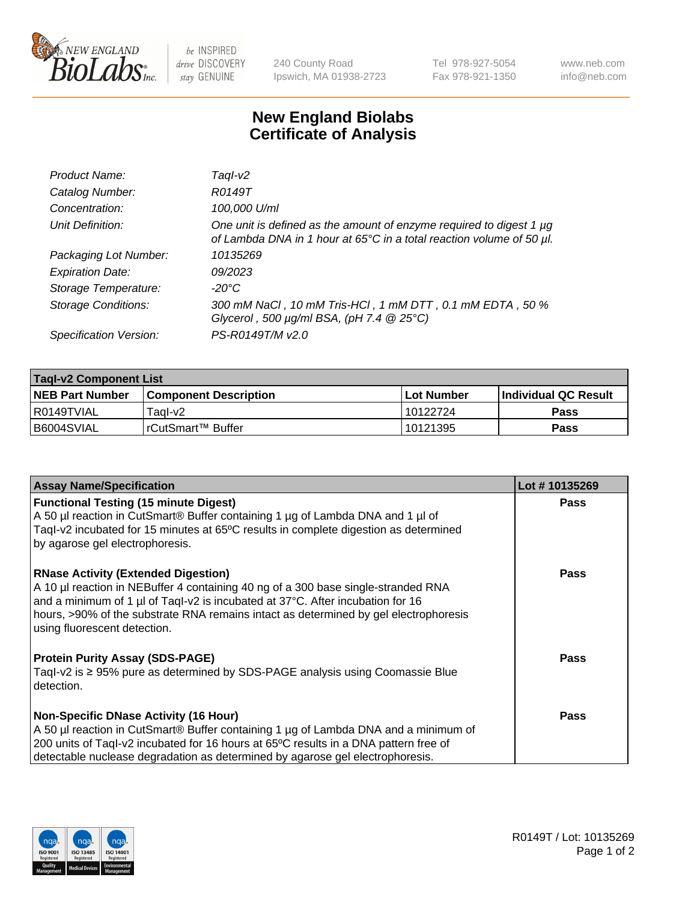

 $be$  INSPIRED drive DISCOVERY stay GENUINE

240 County Road Ipswich, MA 01938-2723 Tel 978-927-5054 Fax 978-921-1350 www.neb.com info@neb.com

## **New England Biolabs Certificate of Analysis**

| Product Name:              | Taql-v2                                                                                                                                     |
|----------------------------|---------------------------------------------------------------------------------------------------------------------------------------------|
| Catalog Number:            | R0149T                                                                                                                                      |
| Concentration:             | 100,000 U/ml                                                                                                                                |
| Unit Definition:           | One unit is defined as the amount of enzyme required to digest 1 µg<br>of Lambda DNA in 1 hour at 65°C in a total reaction volume of 50 µl. |
| Packaging Lot Number:      | 10135269                                                                                                                                    |
| <b>Expiration Date:</b>    | 09/2023                                                                                                                                     |
| Storage Temperature:       | $-20^{\circ}$ C                                                                                                                             |
| <b>Storage Conditions:</b> | 300 mM NaCl, 10 mM Tris-HCl, 1 mM DTT, 0.1 mM EDTA, 50 %<br>Glycerol, 500 $\mu$ g/ml BSA, (pH 7.4 $@25°C$ )                                 |
| Specification Version:     | PS-R0149T/M v2.0                                                                                                                            |

| <b>Tagl-v2 Component List</b> |                              |              |                             |  |  |
|-------------------------------|------------------------------|--------------|-----------------------------|--|--|
| <b>NEB Part Number</b>        | <b>Component Description</b> | l Lot Number | <b>Individual QC Result</b> |  |  |
| I R0149TVIAL                  | Taɑl-v2                      | 10122724     | <b>Pass</b>                 |  |  |
| B6004SVIAL                    | IrCutSmart™ Buffer_          | 10121395     | Pass                        |  |  |

| <b>Assay Name/Specification</b>                                                                                                                                                                                                                                                                                                           | Lot #10135269 |
|-------------------------------------------------------------------------------------------------------------------------------------------------------------------------------------------------------------------------------------------------------------------------------------------------------------------------------------------|---------------|
| <b>Functional Testing (15 minute Digest)</b><br>A 50 µl reaction in CutSmart® Buffer containing 1 µg of Lambda DNA and 1 µl of<br>Tagl-v2 incubated for 15 minutes at 65°C results in complete digestion as determined<br>by agarose gel electrophoresis.                                                                                 | <b>Pass</b>   |
| <b>RNase Activity (Extended Digestion)</b><br>A 10 µl reaction in NEBuffer 4 containing 40 ng of a 300 base single-stranded RNA<br>and a minimum of 1 µl of Taql-v2 is incubated at 37°C. After incubation for 16<br>hours, >90% of the substrate RNA remains intact as determined by gel electrophoresis<br>using fluorescent detection. | Pass          |
| <b>Protein Purity Assay (SDS-PAGE)</b><br>Tagl-v2 is $\geq$ 95% pure as determined by SDS-PAGE analysis using Coomassie Blue<br>detection.                                                                                                                                                                                                | Pass          |
| <b>Non-Specific DNase Activity (16 Hour)</b><br>A 50 µl reaction in CutSmart® Buffer containing 1 µg of Lambda DNA and a minimum of<br>200 units of Taql-v2 incubated for 16 hours at 65°C results in a DNA pattern free of<br>detectable nuclease degradation as determined by agarose gel electrophoresis.                              | Pass          |